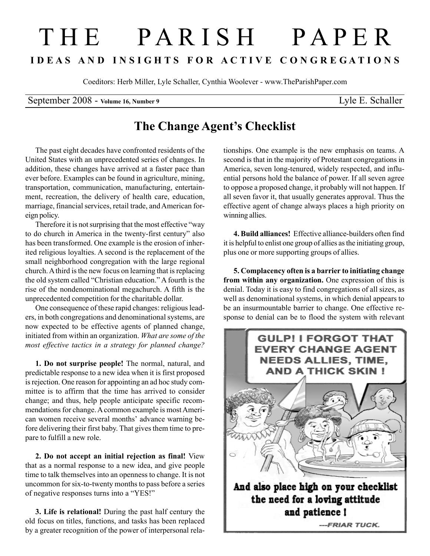## T H E P A R I S H P A P E R I D E A S A N D I N S I G H T S F O R A C T I V E C O N G R E G A T I O N S

Coeditors: Herb Miller, Lyle Schaller, Cynthia Woolever - www.TheParishPaper.com

September 2008 - Volume 16, Number 9 Lyle E. Schaller

## The Change Agent's Checklist

The past eight decades have confronted residents of the United States with an unprecedented series of changes. In addition, these changes have arrived at a faster pace than ever before. Examples can be found in agriculture, mining, transportation, communication, manufacturing, entertainment, recreation, the delivery of health care, education, marriage, financial services, retail trade, and American foreign policy.

Therefore it is not surprising that the most effective "way to do church in America in the twenty-first century" also has been transformed. One example is the erosion of inherited religious loyalties. A second is the replacement of the small neighborhood congregation with the large regional church. A third is the new focus on learning that is replacing the old system called "Christian education." A fourth is the rise of the nondenominational megachurch. A fifth is the unprecedented competition for the charitable dollar.

One consequence of these rapid changes: religious leaders, in both congregations and denominational systems, are now expected to be effective agents of planned change, initiated from within an organization. What are some of the most effective tactics in a strategy for planned change?

1. Do not surprise people! The normal, natural, and predictable response to a new idea when it is first proposed is rejection. One reason for appointing an ad hoc study committee is to affirm that the time has arrived to consider change; and thus, help people anticipate specific recommendations for change. A common example is most American women receive several months' advance warning before delivering their first baby. That gives them time to prepare to fulfill a new role.

2. Do not accept an initial rejection as final! View that as a normal response to a new idea, and give people time to talk themselves into an openness to change. It is not uncommon for six-to-twenty months to pass before a series of negative responses turns into a "YES!"

3. Life is relational! During the past half century the old focus on titles, functions, and tasks has been replaced by a greater recognition of the power of interpersonal relationships. One example is the new emphasis on teams. A second is that in the majority of Protestant congregations in America, seven long-tenured, widely respected, and influential persons hold the balance of power. If all seven agree to oppose a proposed change, it probably will not happen. If all seven favor it, that usually generates approval. Thus the effective agent of change always places a high priority on winning allies.

4. Build alliances! Effective alliance-builders often find it is helpful to enlist one group of allies as the initiating group, plus one or more supporting groups of allies.

5. Complacency often is a barrier to initiating change from within any organization. One expression of this is denial. Today it is easy to find congregations of all sizes, as well as denominational systems, in which denial appears to be an insurmountable barrier to change. One effective response to denial can be to flood the system with relevant